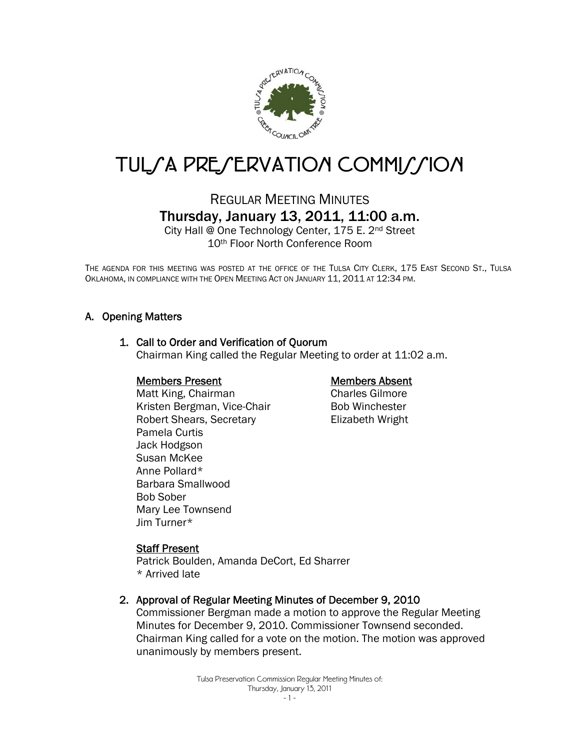

# TUL/A PRE/ERVATION COMMI//ION

# REGULAR MEETING MINUTES Thursday, January 13, 2011, 11:00 a.m.

City Hall @ One Technology Center, 175 E. 2nd Street 10th Floor North Conference Room

THE AGENDA FOR THIS MEETING WAS POSTED AT THE OFFICE OF THE TULSA CITY CLERK, 175 EAST SECOND ST., TULSA OKLAHOMA, IN COMPLIANCE WITH THE OPEN MEETING ACT ON JANUARY 11, 2011 AT 12:34 PM.

# A. Opening Matters

# 1. Call to Order and Verification of Quorum

Chairman King called the Regular Meeting to order at 11:02 a.m.

#### Members Present

Matt King, Chairman Kristen Bergman, Vice-Chair Robert Shears, Secretary Pamela Curtis Jack Hodgson Susan McKee Anne Pollard\* Barbara Smallwood Bob Sober Mary Lee Townsend Jim Turner\*

#### Members Absent

Charles Gilmore Bob Winchester Elizabeth Wright

#### Staff Present

Patrick Boulden, Amanda DeCort, Ed Sharrer \* Arrived late

#### 2. Approval of Regular Meeting Minutes of December 9, 2010

Commissioner Bergman made a motion to approve the Regular Meeting Minutes for December 9, 2010. Commissioner Townsend seconded. Chairman King called for a vote on the motion. The motion was approved unanimously by members present.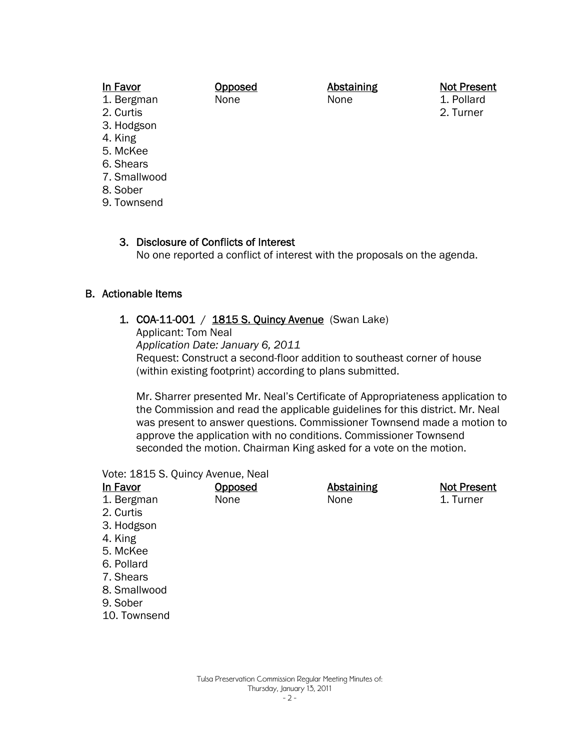#### In Favor

**Opposed** 

**Abstaining** 

None

None

Not Present

1. Pollard 2. Turner

- 1. Bergman
- 2. Curtis 3. Hodgson
- 
- 4. King
- 5. McKee
- 6. Shears
- 7. Smallwood
- 8. Sober
- 9. Townsend

# 3. Disclosure of Conflicts of Interest

No one reported a conflict of interest with the proposals on the agenda.

# B. Actionable Items

1. COA-11-001 / 1815 S. Quincy Avenue (Swan Lake)

Applicant: Tom Neal

*Application Date: January 6, 2011*

Request: Construct a second-floor addition to southeast corner of house (within existing footprint) according to plans submitted.

Mr. Sharrer presented Mr. Neal's Certificate of Appropriateness application to the Commission and read the applicable guidelines for this district. Mr. Neal was present to answer questions. Commissioner Townsend made a motion to approve the application with no conditions. Commissioner Townsend seconded the motion. Chairman King asked for a vote on the motion.

#### Vote: 1815 S. Quincy Avenue, Neal

| Opposed | <b>Abstaining</b> | <b>Not Present</b> |
|---------|-------------------|--------------------|
| None    | None              | 1. Turner          |
|         |                   |                    |
|         |                   |                    |
|         |                   |                    |
|         |                   |                    |
|         |                   |                    |
|         |                   |                    |
|         |                   |                    |
|         |                   |                    |
|         |                   |                    |
|         |                   |                    |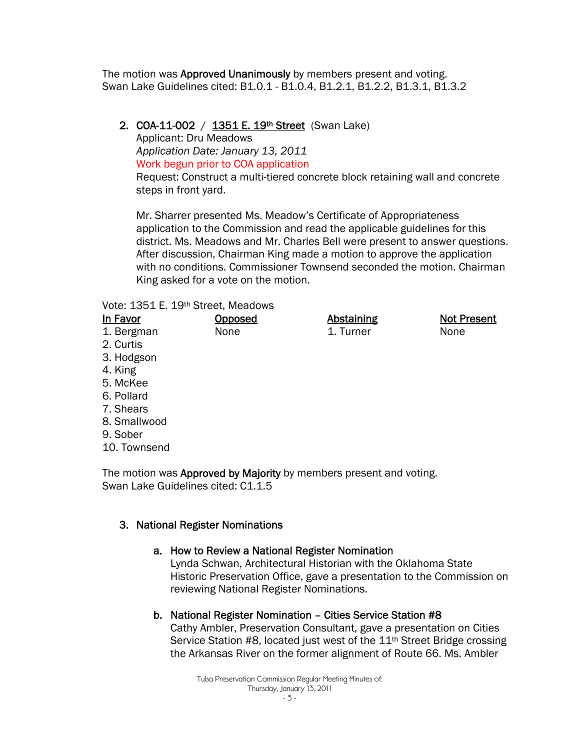The motion was **Approved Unanimously** by members present and voting. Swan Lake Guidelines cited: B1.0.1 - B1.0.4, B1.2.1, B1.2.2, B1.3.1, B1.3.2

# 2. COA-11-002 / 1351 E. 19th Street (Swan Lake)

Applicant: Dru Meadows *Application Date: January 13, 2011* Work begun prior to COA application

Request: Construct a multi-tiered concrete block retaining wall and concrete steps in front yard.

Mr. Sharrer presented Ms. Meadow's Certificate of Appropriateness application to the Commission and read the applicable guidelines for this district. Ms. Meadows and Mr. Charles Bell were present to answer questions. After discussion, Chairman King made a motion to approve the application with no conditions. Commissioner Townsend seconded the motion. Chairman King asked for a vote on the motion.

#### Vote: 1351 E. 19th Street, Meadows

| In Favor     | Opposed | <b>Abstaining</b> | <b>Not Present</b> |
|--------------|---------|-------------------|--------------------|
| 1. Bergman   | None    | 1. Turner         | None               |
| 2. Curtis    |         |                   |                    |
| 3. Hodgson   |         |                   |                    |
| 4. King      |         |                   |                    |
| 5. McKee     |         |                   |                    |
| 6. Pollard   |         |                   |                    |
| 7. Shears    |         |                   |                    |
| 8. Smallwood |         |                   |                    |
| 9. Sober     |         |                   |                    |
| 10. Townsend |         |                   |                    |

The motion was Approved by Majority by members present and voting. Swan Lake Guidelines cited: C1.1.5

# 3. National Register Nominations

# a. How to Review a National Register Nomination

Lynda Schwan, Architectural Historian with the Oklahoma State Historic Preservation Office, gave a presentation to the Commission on reviewing National Register Nominations.

# b. National Register Nomination – Cities Service Station #8

Cathy Ambler, Preservation Consultant, gave a presentation on Cities Service Station #8, located just west of the 11<sup>th</sup> Street Bridge crossing the Arkansas River on the former alignment of Route 66. Ms. Ambler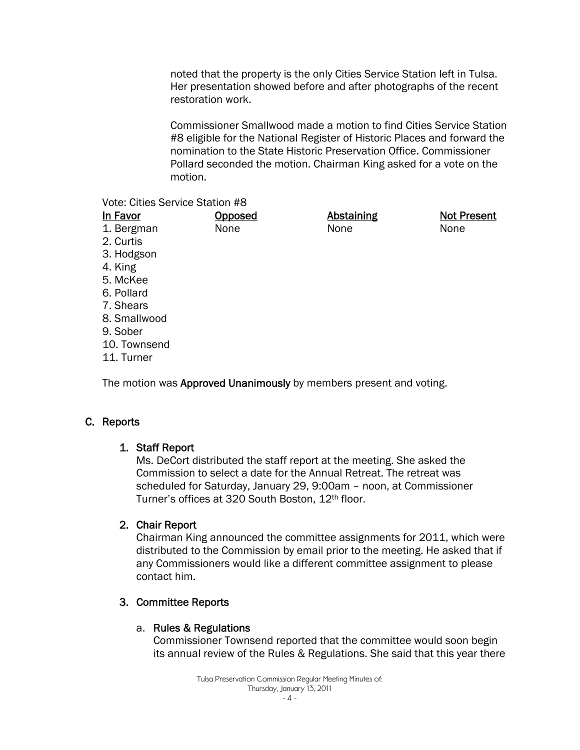noted that the property is the only Cities Service Station left in Tulsa. Her presentation showed before and after photographs of the recent restoration work.

Commissioner Smallwood made a motion to find Cities Service Station #8 eligible for the National Register of Historic Places and forward the nomination to the State Historic Preservation Office. Commissioner Pollard seconded the motion. Chairman King asked for a vote on the motion.

#### Vote: Cities Service Station #8

| In Favor     | Opposed | <b>Abstaining</b> | <b>Not Present</b> |
|--------------|---------|-------------------|--------------------|
| 1. Bergman   | None    | None              | None               |
| 2. Curtis    |         |                   |                    |
| 3. Hodgson   |         |                   |                    |
| 4. King      |         |                   |                    |
| 5. McKee     |         |                   |                    |
| 6. Pollard   |         |                   |                    |
| 7. Shears    |         |                   |                    |
| 8. Smallwood |         |                   |                    |
| 9. Sober     |         |                   |                    |
| 10. Townsend |         |                   |                    |
| 11. Turner   |         |                   |                    |
|              |         |                   |                    |

The motion was Approved Unanimously by members present and voting.

# C. Reports

# 1. Staff Report

Ms. DeCort distributed the staff report at the meeting. She asked the Commission to select a date for the Annual Retreat. The retreat was scheduled for Saturday, January 29, 9:00am – noon, at Commissioner Turner's offices at 320 South Boston, 12th floor.

# 2. Chair Report

Chairman King announced the committee assignments for 2011, which were distributed to the Commission by email prior to the meeting. He asked that if any Commissioners would like a different committee assignment to please contact him.

# 3. Committee Reports

#### a. Rules & Regulations

Commissioner Townsend reported that the committee would soon begin its annual review of the Rules & Regulations. She said that this year there